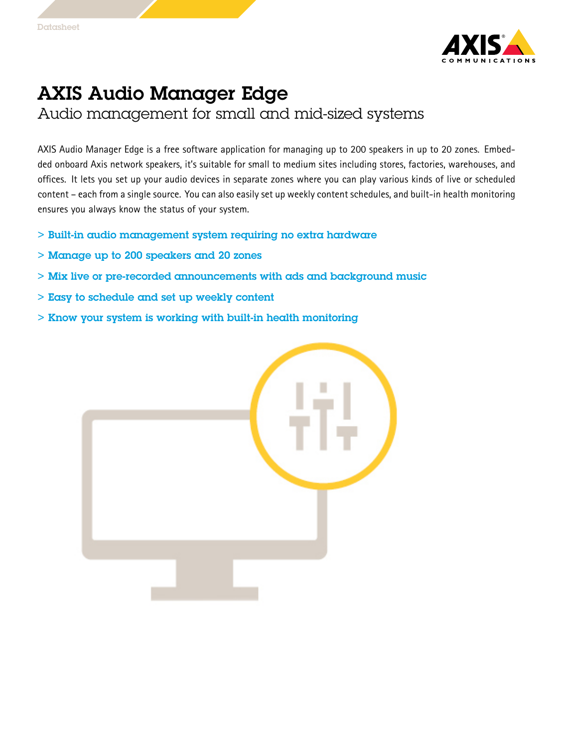

## AXIS Audio Manager Edge

Audio management for small and mid-sized systems

AXIS Audio Manager Edge is <sup>a</sup> free software application for managing up to 200 speakers in up to 20 zones. Embedded onboard Axis network speakers, it's suitable for small to medium sites including stores, factories, warehouses, and offices. It lets you set up your audio devices in separate zones where you can play various kinds of live or scheduled content – each from <sup>a</sup> single source. You can also easily set up weekly content schedules, and built-in health monitoring ensures you always know the status of your system.

- > Built-in audio management system requiring no extra hardware
- > Manage up to 200 speakers and 20 zones
- > Mix live or pre-recorded announcements with ads and background music
- > Easy to schedule and set up weekly content
- > Know your system is working with built-in health monitoring